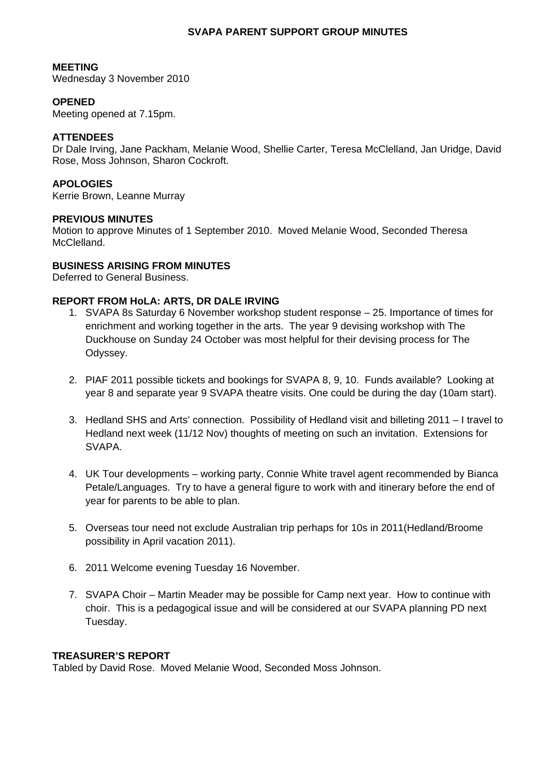## **SVAPA PARENT SUPPORT GROUP MINUTES**

## **MEETING**

Wednesday 3 November 2010

# **OPENED**

Meeting opened at 7.15pm.

# **ATTENDEES**

Dr Dale Irving, Jane Packham, Melanie Wood, Shellie Carter, Teresa McClelland, Jan Uridge, David Rose, Moss Johnson, Sharon Cockroft.

# **APOLOGIES**

Kerrie Brown, Leanne Murray

# **PREVIOUS MINUTES**

Motion to approve Minutes of 1 September 2010. Moved Melanie Wood, Seconded Theresa McClelland.

# **BUSINESS ARISING FROM MINUTES**

Deferred to General Business.

# **REPORT FROM HoLA: ARTS, DR DALE IRVING**

- 1. SVAPA 8s Saturday 6 November workshop student response 25. Importance of times for enrichment and working together in the arts. The year 9 devising workshop with The Duckhouse on Sunday 24 October was most helpful for their devising process for The Odyssey.
- 2. PIAF 2011 possible tickets and bookings for SVAPA 8, 9, 10. Funds available? Looking at year 8 and separate year 9 SVAPA theatre visits. One could be during the day (10am start).
- 3. Hedland SHS and Arts' connection. Possibility of Hedland visit and billeting 2011 I travel to Hedland next week (11/12 Nov) thoughts of meeting on such an invitation. Extensions for SVAPA.
- 4. UK Tour developments working party, Connie White travel agent recommended by Bianca Petale/Languages. Try to have a general figure to work with and itinerary before the end of year for parents to be able to plan.
- 5. Overseas tour need not exclude Australian trip perhaps for 10s in 2011(Hedland/Broome possibility in April vacation 2011).
- 6. 2011 Welcome evening Tuesday 16 November.
- 7. SVAPA Choir Martin Meader may be possible for Camp next year. How to continue with choir. This is a pedagogical issue and will be considered at our SVAPA planning PD next Tuesday.

#### **TREASURER'S REPORT**

Tabled by David Rose. Moved Melanie Wood, Seconded Moss Johnson.